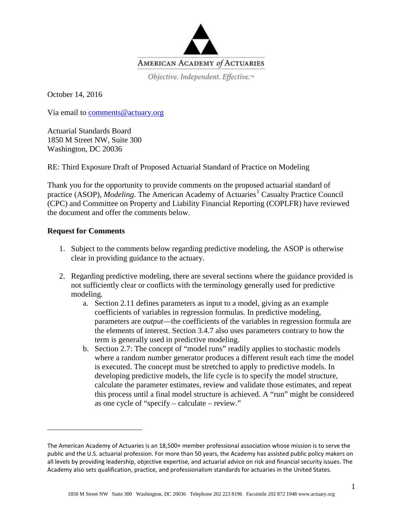

Objective. Independent. Effective.™

October 14, 2016

Via email to [comments@actuary.org](mailto:comments@actuary.org)

Actuarial Standards Board 1850 M Street NW, Suite 300 Washington, DC 20036

RE: Third Exposure Draft of Proposed Actuarial Standard of Practice on Modeling

Thank you for the opportunity to provide comments on the proposed actuarial standard of practice (ASOP), *Modeling*. The American Academy of Actuaries<sup>[1](#page-0-0)</sup> Casualty Practice Council (CPC) and Committee on Property and Liability Financial Reporting (COPLFR) have reviewed the document and offer the comments below.

## **Request for Comments**

 $\overline{\phantom{a}}$ 

- 1. Subject to the comments below regarding predictive modeling, the ASOP is otherwise clear in providing guidance to the actuary.
- 2. Regarding predictive modeling, there are several sections where the guidance provided is not sufficiently clear or conflicts with the terminology generally used for predictive modeling.
	- a. Section 2.11 defines parameters as input to a model, giving as an example coefficients of variables in regression formulas. In predictive modeling, parameters are *output*—the coefficients of the variables in regression formula are the elements of interest. Section 3.4.7 also uses parameters contrary to how the term is generally used in predictive modeling.
	- b. Section 2.7: The concept of "model runs" readily applies to stochastic models where a random number generator produces a different result each time the model is executed. The concept must be stretched to apply to predictive models. In developing predictive models, the life cycle is to specify the model structure, calculate the parameter estimates, review and validate those estimates, and repeat this process until a final model structure is achieved. A "run" might be considered as one cycle of "specify – calculate – review."

<span id="page-0-0"></span>The American Academy of Actuaries is an 18,500+ member professional association whose mission is to serve the public and the U.S. actuarial profession. For more than 50 years, the Academy has assisted public policy makers on all levels by providing leadership, objective expertise, and actuarial advice on risk and financial security issues. The Academy also sets qualification, practice, and professionalism standards for actuaries in the United States.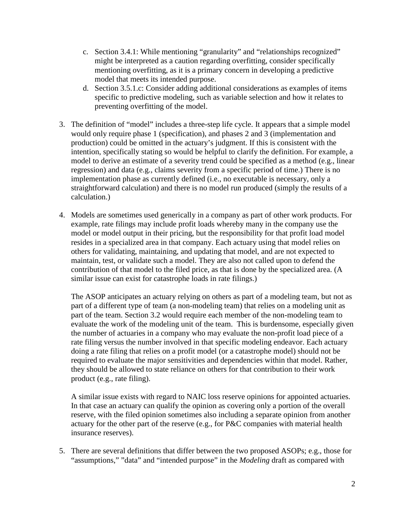- c. Section 3.4.1: While mentioning "granularity" and "relationships recognized" might be interpreted as a caution regarding overfitting, consider specifically mentioning overfitting, as it is a primary concern in developing a predictive model that meets its intended purpose.
- d. Section 3.5.1.c: Consider adding additional considerations as examples of items specific to predictive modeling, such as variable selection and how it relates to preventing overfitting of the model.
- 3. The definition of "model" includes a three-step life cycle. It appears that a simple model would only require phase 1 (specification), and phases 2 and 3 (implementation and production) could be omitted in the actuary's judgment. If this is consistent with the intention, specifically stating so would be helpful to clarify the definition. For example, a model to derive an estimate of a severity trend could be specified as a method (e.g., linear regression) and data (e.g., claims severity from a specific period of time.) There is no implementation phase as currently defined (i.e., no executable is necessary, only a straightforward calculation) and there is no model run produced (simply the results of a calculation.)
- 4. Models are sometimes used generically in a company as part of other work products. For example, rate filings may include profit loads whereby many in the company use the model or model output in their pricing, but the responsibility for that profit load model resides in a specialized area in that company. Each actuary using that model relies on others for validating, maintaining, and updating that model, and are not expected to maintain, test, or validate such a model. They are also not called upon to defend the contribution of that model to the filed price, as that is done by the specialized area. (A similar issue can exist for catastrophe loads in rate filings.)

The ASOP anticipates an actuary relying on others as part of a modeling team, but not as part of a different type of team (a non-modeling team) that relies on a modeling unit as part of the team. Section 3.2 would require each member of the non-modeling team to evaluate the work of the modeling unit of the team. This is burdensome, especially given the number of actuaries in a company who may evaluate the non-profit load piece of a rate filing versus the number involved in that specific modeling endeavor. Each actuary doing a rate filing that relies on a profit model (or a catastrophe model) should not be required to evaluate the major sensitivities and dependencies within that model. Rather, they should be allowed to state reliance on others for that contribution to their work product (e.g., rate filing).

A similar issue exists with regard to NAIC loss reserve opinions for appointed actuaries. In that case an actuary can qualify the opinion as covering only a portion of the overall reserve, with the filed opinion sometimes also including a separate opinion from another actuary for the other part of the reserve (e.g., for P&C companies with material health insurance reserves).

5. There are several definitions that differ between the two proposed ASOPs; e.g., those for "assumptions," "data" and "intended purpose" in the *Modeling* draft as compared with